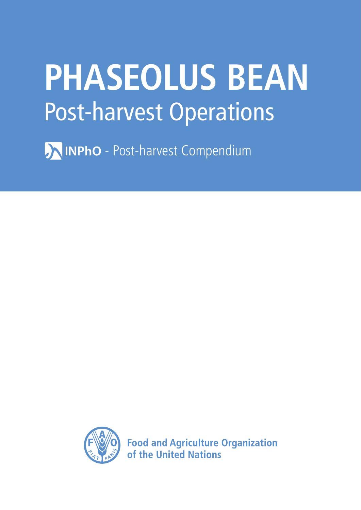# **PHASEOLUS BEAN** Post-harvest Operations

**AINPhO** - Post-harvest Compendium



**Food and Agriculture Organization** of the United Nations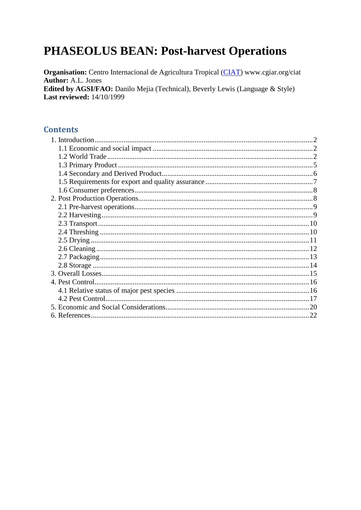# **PHASEOLUS BEAN: Post-harvest Operations**

Organisation: Centro Internacional de Agricultura Tropical (CIAT) www.cgiar.org/ciat **Author: A.L. Jones** Edited by AGSI/FAO: Danilo Mejia (Technical), Beverly Lewis (Language & Style) **Last reviewed: 14/10/1999** 

## **Contents**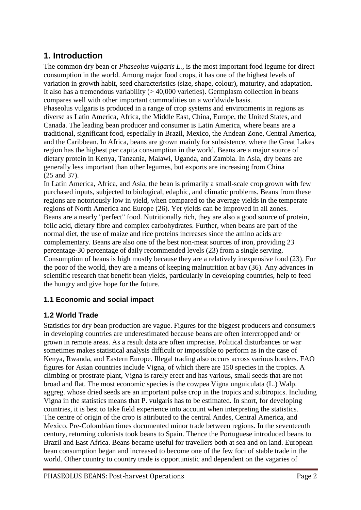# <span id="page-2-0"></span>**1. Introduction**

The common dry bean or *Phaseolus vulgaris L.,* is the most important food legume for direct consumption in the world. Among major food crops, it has one of the highest levels of variation in growth habit, seed characteristics (size, shape, colour), maturity, and adaptation. It also has a tremendous variability  $(> 40,000$  varieties). Germplasm collection in beans compares well with other important commodities on a worldwide basis.

Phaseolus vulgaris is produced in a range of crop systems and environments in regions as diverse as Latin America, Africa, the Middle East, China, Europe, the United States, and Canada. The leading bean producer and consumer is Latin America, where beans are a traditional, significant food, especially in Brazil, Mexico, the Andean Zone, Central America, and the Caribbean. In Africa, beans are grown mainly for subsistence, where the Great Lakes region has the highest per capita consumption in the world. Beans are a major source of dietary protein in Kenya, Tanzania, Malawi, Uganda, and Zambia. In Asia, dry beans are generally less important than other legumes, but exports are increasing from China (25 and 37).

In Latin America, Africa, and Asia, the bean is primarily a small-scale crop grown with few purchased inputs, subjected to biological, edaphic, and climatic problems. Beans from these regions are notoriously low in yield, when compared to the average yields in the temperate regions of North America and Europe (26). Yet yields can be improved in all zones. Beans are a nearly "perfect" food. Nutritionally rich, they are also a good source of protein, folic acid, dietary fibre and complex carbohydrates. Further, when beans are part of the normal diet, the use of maize and rice proteins increases since the amino acids are complementary. Beans are also one of the best non-meat sources of iron, providing 23 percentage-30 percentage of daily recommended levels (23) from a single serving. Consumption of beans is high mostly because they are a relatively inexpensive food (23). For the poor of the world, they are a means of keeping malnutrition at bay (36). Any advances in scientific research that benefit bean yields, particularly in developing countries, help to feed the hungry and give hope for the future.

# <span id="page-2-1"></span>**1.1 Economic and social impact**

### <span id="page-2-2"></span>**1.2 World Trade**

Statistics for dry bean production are vague. Figures for the biggest producers and consumers in developing countries are underestimated because beans are often intercropped and/ or grown in remote areas. As a result data are often imprecise. Political disturbances or war sometimes makes statistical analysis difficult or impossible to perform as in the case of Kenya, Rwanda, and Eastern Europe. Illegal trading also occurs across various borders. FAO figures for Asian countries include Vigna, of which there are 150 species in the tropics. A climbing or prostrate plant, Vigna is rarely erect and has various, small seeds that are not broad and flat. The most economic species is the cowpea Vigna unguiculata (L.) Walp. aggreg. whose dried seeds are an important pulse crop in the tropics and subtropics. Including Vigna in the statistics means that P. vulgaris has to be estimated. In short, for developing countries, it is best to take field experience into account when interpreting the statistics. The centre of origin of the crop is attributed to the central Andes, Central America, and Mexico. Pre-Colombian times documented minor trade between regions. In the seventeenth century, returning colonists took beans to Spain. Thence the Portuguese introduced beans to Brazil and East Africa. Beans became useful for travellers both at sea and on land. European bean consumption began and increased to become one of the few foci of stable trade in the world. Other country to country trade is opportunistic and dependent on the vagaries of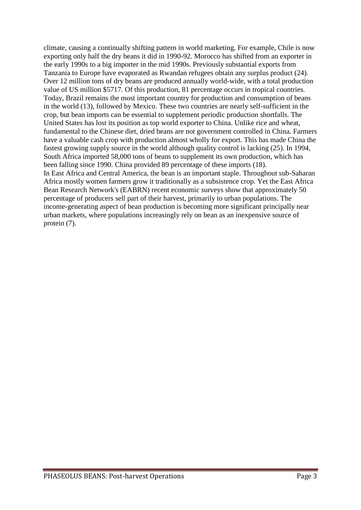climate, causing a continually shifting pattern in world marketing. For example, Chile is now exporting only half the dry beans it did in 1990-92. Morocco has shifted from an exporter in the early 1990s to a big importer in the mid 1990s. Previously substantial exports from Tanzania to Europe have evaporated as Rwandan refugees obtain any surplus product (24). Over 12 million tons of dry beans are produced annually world-wide, with a total production value of US million \$5717. Of this production, 81 percentage occurs in tropical countries. Today, Brazil remains the most important country for production and consumption of beans in the world (13), followed by Mexico. These two countries are nearly self-sufficient in the crop, but bean imports can be essential to supplement periodic production shortfalls. The United States has lost its position as top world exporter to China. Unlike rice and wheat, fundamental to the Chinese diet, dried beans are not government controlled in China. Farmers have a valuable cash crop with production almost wholly for export. This has made China the fastest growing supply source in the world although quality control is lacking (25). In 1994, South Africa imported 58,000 tons of beans to supplement its own production, which has been falling since 1990. China provided 89 percentage of these imports (18). In East Africa and Central America, the bean is an important staple. Throughout sub-Saharan Africa mostly women farmers grow it traditionally as a subsistence crop. Yet the East Africa Bean Research Network's (EABRN) recent economic surveys show that approximately 50 percentage of producers sell part of their harvest, primarily to urban populations. The income-generating aspect of bean production is becoming more significant principally near urban markets, where populations increasingly rely on bean as an inexpensive source of protein (7).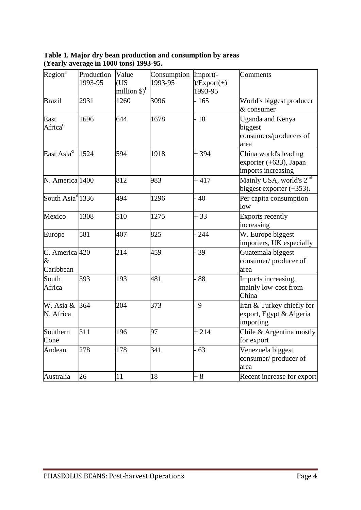| Table 1. Major dry bean production and consumption by areas |  |
|-------------------------------------------------------------|--|
| (Yearly average in 1000 tons) 1993-95.                      |  |

| Region <sup>a</sup>                     | Production | Value                              | Consumption | Import(-      | Comments                            |
|-----------------------------------------|------------|------------------------------------|-------------|---------------|-------------------------------------|
|                                         | 1993-95    | (US                                | 1993-95     | $)/Export(+)$ |                                     |
|                                         |            | million $\mathcal{S}$ <sup>b</sup> |             | 1993-95       |                                     |
| <b>Brazil</b>                           | 2931       | 1260                               | 3096        | $-165$        | World's biggest producer            |
|                                         |            |                                    |             |               | $&$ consumer                        |
| East                                    | 1696       | 644                                | 1678        | $-18$         | Uganda and Kenya                    |
| Africa <sup>c</sup>                     |            |                                    |             |               | biggest                             |
|                                         |            |                                    |             |               | consumers/producers of              |
|                                         |            |                                    |             |               | area                                |
| East Asi $a^d$                          | 1524       | 594                                | 1918        | $+394$        | China world's leading               |
|                                         |            |                                    |             |               | exporter $(+633)$ , Japan           |
|                                         |            |                                    |             |               | imports increasing                  |
| N. America 1400                         |            | 812                                | 983         | $+417$        | Mainly USA, world's 2 <sup>nd</sup> |
|                                         |            |                                    |             |               | biggest exporter $(+353)$ .         |
| South Asia <sup>d</sup> <sup>1336</sup> |            | 494                                | 1296        | $-40$         | Per capita consumption              |
|                                         |            |                                    |             |               | low                                 |
| Mexico                                  | 1308       | 510                                | 1275        | $+33$         | <b>Exports recently</b>             |
|                                         |            |                                    |             |               | increasing                          |
| Europe                                  | 581        | 407                                | 825         | $-244$        | W. Europe biggest                   |
|                                         |            |                                    |             |               | importers, UK especially            |
| C. America 420                          |            | 214                                | 459         | $-39$         | Guatemala biggest                   |
| $\&$                                    |            |                                    |             |               | consumer/producer of                |
| Caribbean                               |            |                                    |             |               | area                                |
| South                                   | 393        | 193                                | 481         | $-88$         | Imports increasing,                 |
| Africa                                  |            |                                    |             |               | mainly low-cost from                |
|                                         |            |                                    |             |               | China                               |
| W. Asia &                               | 364        | 204                                | 373         | $-9$          | Iran & Turkey chiefly for           |
| N. Africa                               |            |                                    |             |               | export, Egypt & Algeria             |
|                                         |            |                                    |             |               | importing                           |
| Southern                                | 311        | 196                                | 97          | $+214$        | Chile & Argentina mostly            |
| Cone                                    |            |                                    |             |               | for export                          |
| Andean                                  | 278        | 178                                | 341         | $-63$         | Venezuela biggest                   |
|                                         |            |                                    |             |               | consumer/producer of                |
|                                         |            |                                    |             |               | area                                |
| Australia                               | 26         | 11                                 | 18          | $+8$          | Recent increase for export          |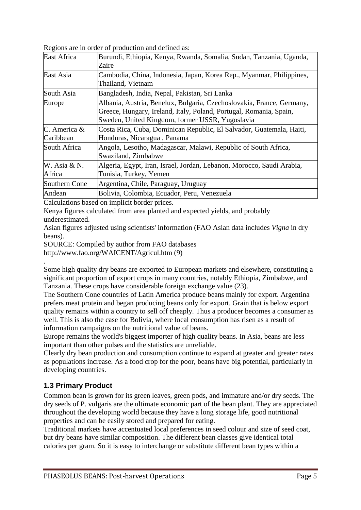| East Africa               | Burundi, Ethiopia, Kenya, Rwanda, Somalia, Sudan, Tanzania, Uganda,<br>Zaire                                                                                                                   |  |  |  |
|---------------------------|------------------------------------------------------------------------------------------------------------------------------------------------------------------------------------------------|--|--|--|
| East Asia                 | Cambodia, China, Indonesia, Japan, Korea Rep., Myanmar, Philippines,<br>Thailand, Vietnam                                                                                                      |  |  |  |
| South Asia                | Bangladesh, India, Nepal, Pakistan, Sri Lanka                                                                                                                                                  |  |  |  |
| Europe                    | Albania, Austria, Benelux, Bulgaria, Czechoslovakia, France, Germany,<br>Greece, Hungary, Ireland, Italy, Poland, Portugal, Romania, Spain,<br>Sweden, United Kingdom, former USSR, Yugoslavia |  |  |  |
| C. America &<br>Caribbean | Costa Rica, Cuba, Dominican Republic, El Salvador, Guatemala, Haiti,<br>Honduras, Nicaragua, Panama                                                                                            |  |  |  |
| South Africa              | Angola, Lesotho, Madagascar, Malawi, Republic of South Africa,<br>Swaziland, Zimbabwe                                                                                                          |  |  |  |
| W. Asia & N.<br>Africa    | Algeria, Egypt, Iran, Israel, Jordan, Lebanon, Morocco, Saudi Arabia,<br>Tunisia, Turkey, Yemen                                                                                                |  |  |  |
| Southern Cone             | Argentina, Chile, Paraguay, Uruguay                                                                                                                                                            |  |  |  |
| Andean                    | Bolivia, Colombia, Ecuador, Peru, Venezuela                                                                                                                                                    |  |  |  |
|                           |                                                                                                                                                                                                |  |  |  |

Regions are in order of production and defined as:

Calculations based on implicit border prices.

Kenya figures calculated from area planted and expected yields, and probably underestimated.

Asian figures adjusted using scientists' information (FAO Asian data includes *Vigna* in dry beans).

SOURCE: Compiled by author from FAO databases

http://www.fao.org/WAICENT/Agricul.htm (9) .

Some high quality dry beans are exported to European markets and elsewhere, constituting a significant proportion of export crops in many countries, notably Ethiopia, Zimbabwe, and Tanzania. These crops have considerable foreign exchange value (23).

The Southern Cone countries of Latin America produce beans mainly for export. Argentina prefers meat protein and began producing beans only for export. Grain that is below export quality remains within a country to sell off cheaply. Thus a producer becomes a consumer as well. This is also the case for Bolivia, where local consumption has risen as a result of information campaigns on the nutritional value of beans.

Europe remains the world's biggest importer of high quality beans. In Asia, beans are less important than other pulses and the statistics are unreliable.

Clearly dry bean production and consumption continue to expand at greater and greater rates as populations increase. As a food crop for the poor, beans have big potential, particularly in developing countries.

### <span id="page-5-0"></span>**1.3 Primary Product**

Common bean is grown for its green leaves, green pods, and immature and/or dry seeds. The dry seeds of P. vulgaris are the ultimate economic part of the bean plant. They are appreciated throughout the developing world because they have a long storage life, good nutritional properties and can be easily stored and prepared for eating.

Traditional markets have accentuated local preferences in seed colour and size of seed coat, but dry beans have similar composition. The different bean classes give identical total calories per gram. So it is easy to interchange or substitute different bean types within a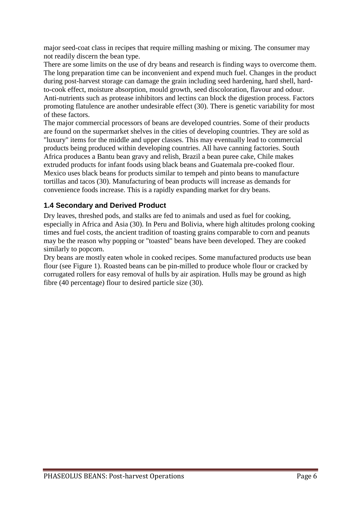major seed-coat class in recipes that require milling mashing or mixing. The consumer may not readily discern the bean type.

There are some limits on the use of dry beans and research is finding ways to overcome them. The long preparation time can be inconvenient and expend much fuel. Changes in the product during post-harvest storage can damage the grain including seed hardening, hard shell, hardto-cook effect, moisture absorption, mould growth, seed discoloration, flavour and odour. Anti-nutrients such as protease inhibitors and lectins can block the digestion process. Factors promoting flatulence are another undesirable effect (30). There is genetic variability for most of these factors.

The major commercial processors of beans are developed countries. Some of their products are found on the supermarket shelves in the cities of developing countries. They are sold as "luxury" items for the middle and upper classes. This may eventually lead to commercial products being produced within developing countries. All have canning factories. South Africa produces a Bantu bean gravy and relish, Brazil a bean puree cake, Chile makes extruded products for infant foods using black beans and Guatemala pre-cooked flour. Mexico uses black beans for products similar to tempeh and pinto beans to manufacture tortillas and tacos (30). Manufacturing of bean products will increase as demands for convenience foods increase. This is a rapidly expanding market for dry beans.

### <span id="page-6-0"></span>**1.4 Secondary and Derived Product**

Dry leaves, threshed pods, and stalks are fed to animals and used as fuel for cooking, especially in Africa and Asia (30). In Peru and Bolivia, where high altitudes prolong cooking times and fuel costs, the ancient tradition of toasting grains comparable to corn and peanuts may be the reason why popping or "toasted" beans have been developed. They are cooked similarly to popcorn.

Dry beans are mostly eaten whole in cooked recipes. Some manufactured products use bean flour (see Figure 1). Roasted beans can be pin-milled to produce whole flour or cracked by corrugated rollers for easy removal of hulls by air aspiration. Hulls may be ground as high fibre (40 percentage) flour to desired particle size (30).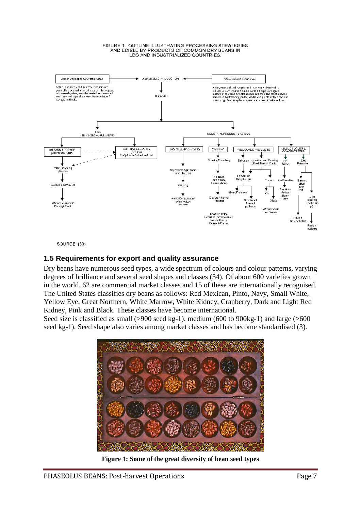#### FIGURE 1. OUTLINE ILLUSTRATING PROCESSING STRATEGIES AND COINCE BY-PRODUCTS OF COMMON DRY BEANS IN<br>LDC AND INDUSTRIALIZED COUNTRIES.



SOURCE: (30)

## <span id="page-7-0"></span>**1.5 Requirements for export and quality assurance**

Dry beans have numerous seed types, a wide spectrum of colours and colour patterns, varying degrees of brilliance and several seed shapes and classes (34). Of about 600 varieties grown in the world, 62 are commercial market classes and 15 of these are internationally recognised. The United States classifies dry beans as follows: Red Mexican, Pinto, Navy, Small White, Yellow Eye, Great Northern, White Marrow, White Kidney, Cranberry, Dark and Light Red Kidney, Pink and Black. These classes have become international.

Seed size is classified as small (>900 seed kg-1), medium (600 to 900kg-1) and large (>600 seed kg-1). Seed shape also varies among market classes and has become standardised (3).



**Figure 1: Some of the great diversity of bean seed types**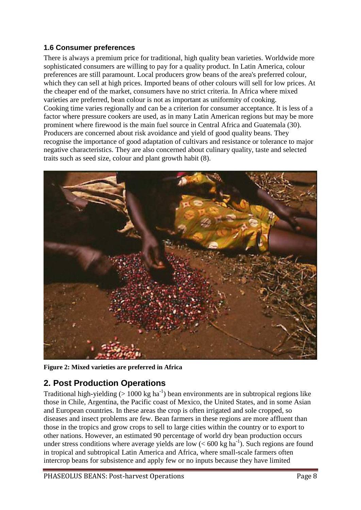## <span id="page-8-0"></span>**1.6 Consumer preferences**

There is always a premium price for traditional, high quality bean varieties. Worldwide more sophisticated consumers are willing to pay for a quality product. In Latin America, colour preferences are still paramount. Local producers grow beans of the area's preferred colour, which they can sell at high prices. Imported beans of other colours will sell for low prices. At the cheaper end of the market, consumers have no strict criteria. In Africa where mixed varieties are preferred, bean colour is not as important as uniformity of cooking. Cooking time varies regionally and can be a criterion for consumer acceptance. It is less of a factor where pressure cookers are used, as in many Latin American regions but may be more prominent where firewood is the main fuel source in Central Africa and Guatemala (30). Producers are concerned about risk avoidance and yield of good quality beans. They recognise the importance of good adaptation of cultivars and resistance or tolerance to major negative characteristics. They are also concerned about culinary quality, taste and selected traits such as seed size, colour and plant growth habit (8).



**Figure 2: Mixed varieties are preferred in Africa** 

# <span id="page-8-1"></span>**2. Post Production Operations**

Traditional high-yielding ( $> 1000$  kg ha<sup>-1</sup>) bean environments are in subtropical regions like those in Chile, Argentina, the Pacific coast of Mexico, the United States, and in some Asian and European countries. In these areas the crop is often irrigated and sole cropped, so diseases and insect problems are few. Bean farmers in these regions are more affluent than those in the tropics and grow crops to sell to large cities within the country or to export to other nations. However, an estimated 90 percentage of world dry bean production occurs under stress conditions where average yields are low  $(< 600 \text{ kg ha}^{-1})$ . Such regions are found in tropical and subtropical Latin America and Africa, where small-scale farmers often intercrop beans for subsistence and apply few or no inputs because they have limited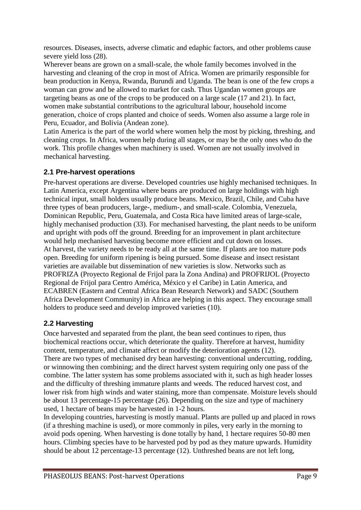resources. Diseases, insects, adverse climatic and edaphic factors, and other problems cause severe yield loss (28).

Wherever beans are grown on a small-scale, the whole family becomes involved in the harvesting and cleaning of the crop in most of Africa. Women are primarily responsible for bean production in Kenya, Rwanda, Burundi and Uganda. The bean is one of the few crops a woman can grow and be allowed to market for cash. Thus Ugandan women groups are targeting beans as one of the crops to be produced on a large scale (17 and 21). In fact, women make substantial contributions to the agricultural labour, household income generation, choice of crops planted and choice of seeds. Women also assume a large role in Peru, Ecuador, and Bolivia (Andean zone).

Latin America is the part of the world where women help the most by picking, threshing, and cleaning crops. In Africa, women help during all stages, or may be the only ones who do the work. This profile changes when machinery is used. Women are not usually involved in mechanical harvesting.

## <span id="page-9-0"></span>**2.1 Pre-harvest operations**

Pre-harvest operations are diverse. Developed countries use highly mechanised techniques. In Latin America, except Argentina where beans are produced on large holdings with high technical input, small holders usually produce beans. Mexico, Brazil, Chile, and Cuba have three types of bean producers, large-, medium-, and small-scale. Colombia, Venezuela, Dominican Republic, Peru, Guatemala, and Costa Rica have limited areas of large-scale, highly mechanised production (33). For mechanised harvesting, the plant needs to be uniform and upright with pods off the ground. Breeding for an improvement in plant architecture would help mechanised harvesting become more efficient and cut down on losses. At harvest, the variety needs to be ready all at the same time. If plants are too mature pods open. Breeding for uniform ripening is being pursued. Some disease and insect resistant varieties are available but dissemination of new varieties is slow. Networks such as PROFRIZA (Proyecto Regional de Frijol para la Zona Andina) and PROFRIJOL (Proyecto Regional de Frijol para Centro América, México y el Caribe) in Latin America, and ECABREN (Eastern and Central Africa Bean Research Network) and SADC (Southern Africa Development Community) in Africa are helping in this aspect. They encourage small holders to produce seed and develop improved varieties (10).

# <span id="page-9-1"></span>**2.2 Harvesting**

Once harvested and separated from the plant, the bean seed continues to ripen, thus biochemical reactions occur, which deteriorate the quality. Therefore at harvest, humidity content, temperature, and climate affect or modify the deterioration agents (12). There are two types of mechanised dry bean harvesting: conventional undercutting, rodding, or winnowing then combining; and the direct harvest system requiring only one pass of the combine. The latter system has some problems associated with it, such as high header losses and the difficulty of threshing immature plants and weeds. The reduced harvest cost, and lower risk from high winds and water staining, more than compensate. Moisture levels should be about 13 percentage-15 percentage (26). Depending on the size and type of machinery used, 1 hectare of beans may be harvested in 1-2 hours.

In developing countries, harvesting is mostly manual. Plants are pulled up and placed in rows (if a threshing machine is used), or more commonly in piles, very early in the morning to avoid pods opening. When harvesting is done totally by hand, 1 hectare requires 50-80 men hours. Climbing species have to be harvested pod by pod as they mature upwards. Humidity should be about 12 percentage-13 percentage (12). Unthreshed beans are not left long,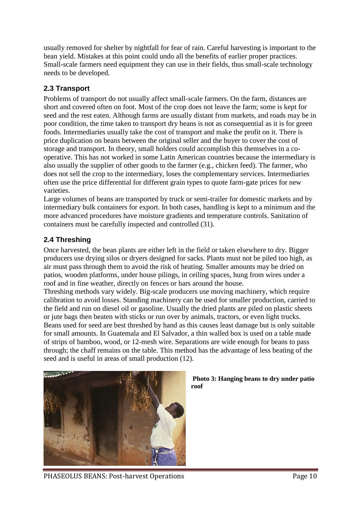usually removed for shelter by nightfall for fear of rain. Careful harvesting is important to the bean yield. Mistakes at this point could undo all the benefits of earlier proper practices. Small-scale farmers need equipment they can use in their fields, thus small-scale technology needs to be developed.

# <span id="page-10-0"></span>**2.3 Transport**

Problems of transport do not usually affect small-scale farmers. On the farm, distances are short and covered often on foot. Most of the crop does not leave the farm; some is kept for seed and the rest eaten. Although farms are usually distant from markets, and roads may be in poor condition, the time taken to transport dry beans is not as consequential as it is for green foods. Intermediaries usually take the cost of transport and make the profit on it. There is price duplication on beans between the original seller and the buyer to cover the cost of storage and transport. In theory, small holders could accomplish this themselves in a cooperative. This has not worked in some Latin American countries because the intermediary is also usually the supplier of other goods to the farmer (e.g., chicken feed). The farmer, who does not sell the crop to the intermediary, loses the complementary services. Intermediaries often use the price differential for different grain types to quote farm-gate prices for new varieties.

Large volumes of beans are transported by truck or semi-trailer for domestic markets and by intermediary bulk containers for export. In both cases, handling is kept to a minimum and the more advanced procedures have moisture gradients and temperature controls. Sanitation of containers must be carefully inspected and controlled (31).

# <span id="page-10-1"></span>**2.4 Threshing**

Once harvested, the bean plants are either left in the field or taken elsewhere to dry. Bigger producers use drying silos or dryers designed for sacks. Plants must not be piled too high, as air must pass through them to avoid the risk of heating. Smaller amounts may be dried on patios, wooden platforms, under house pilings, in ceiling spaces, hung from wires under a roof and in fine weather, directly on fences or bars around the house.

Threshing methods vary widely. Big-scale producers use moving machinery, which require calibration to avoid losses. Standing machinery can be used for smaller production, carried to the field and run on diesel oil or gasoline. Usually the dried plants are piled on plastic sheets or jute bags then beaten with sticks or run over by animals, tractors, or even light trucks. Beans used for seed are best threshed by hand as this causes least damage but is only suitable for small amounts. In Guatemala and El Salvador, a thin walled box is used on a table made of strips of bamboo, wood, or 12-mesh wire. Separations are wide enough for beans to pass through; the chaff remains on the table. This method has the advantage of less beating of the seed and is useful in areas of small production (12).



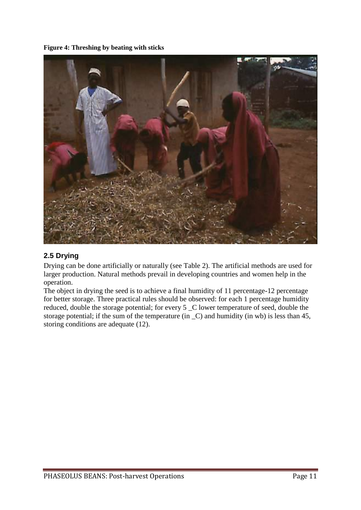**Figure 4: Threshing by beating with sticks** 



# <span id="page-11-0"></span>**2.5 Drying**

Drying can be done artificially or naturally (see Table 2). The artificial methods are used for larger production. Natural methods prevail in developing countries and women help in the operation.

The object in drying the seed is to achieve a final humidity of 11 percentage-12 percentage for better storage. Three practical rules should be observed: for each 1 percentage humidity reduced, double the storage potential; for every 5 \_C lower temperature of seed, double the storage potential; if the sum of the temperature (in  $\,$  C) and humidity (in wb) is less than 45, storing conditions are adequate (12).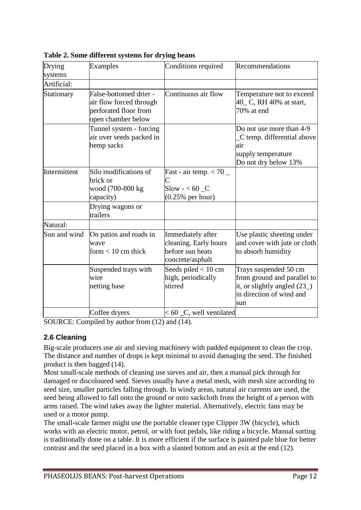| Drying<br>systems | <b>Examples</b>                                                                                  | Conditions required                                                                | Recommendations                                                                                                         |  |
|-------------------|--------------------------------------------------------------------------------------------------|------------------------------------------------------------------------------------|-------------------------------------------------------------------------------------------------------------------------|--|
| Artificial:       |                                                                                                  |                                                                                    |                                                                                                                         |  |
| Stationary        | False-bottomed drier -<br>air flow forced through<br>perforated floor from<br>open chamber below | Continuous air flow                                                                | Temperature not to exceed<br>40_ C, RH 40% at start,<br>70% at end                                                      |  |
|                   | Tunnel system - forcing<br>air over seeds packed in<br>hemp sacks                                |                                                                                    | Do not use more than 4-9<br>C temp. differential above<br>air<br>supply temperature<br>Do not dry below 13%             |  |
| Intermittent      | Silo modifications of<br>brick or<br>wood (700-800 kg<br>capacity)                               | Fast - air temp. $< 70 \_$<br>C<br>$S$ low $-$ < 60 $C$<br>$(0.25\%$ per hour)     |                                                                                                                         |  |
|                   | Drying wagons or<br>trailers                                                                     |                                                                                    |                                                                                                                         |  |
| Natural:          |                                                                                                  |                                                                                    |                                                                                                                         |  |
| Sun and wind      | On patios and roads in<br>wave<br>form $< 10$ cm thick                                           | Immediately after<br>cleaning. Early hours<br>before sun heats<br>concrete/asphalt | Use plastic sheeting under<br>and cover with jute or cloth<br>to absorb humidity                                        |  |
|                   | Suspended trays with<br>wire<br>netting base                                                     | Seeds piled $< 10$ cm<br>high, periodically<br>stirred                             | Trays suspended 50 cm<br>from ground and parallel to<br>it, or slightly angled (23_)<br>in direction of wind and<br>sun |  |
|                   | Coffee dryers                                                                                    | $< 60$ $\degree$ C, well ventilated                                                |                                                                                                                         |  |

**Table 2. Some different systems for drying beans**

SOURCE: Compiled by author from (12) and (14).

### <span id="page-12-0"></span>**2.6 Cleaning**

Big-scale producers use air and sieving machinery with padded equipment to clean the crop. The distance and number of drops is kept minimal to avoid damaging the seed. The finished product is then bagged (14).

Most small-scale methods of cleaning use sieves and air, then a manual pick through for damaged or discoloured seed. Sieves usually have a metal mesh, with mesh size according to seed size, smaller particles falling through. In windy areas, natural air currents are used, the seed being allowed to fall onto the ground or onto sackcloth from the height of a person with arms raised. The wind takes away the lighter material. Alternatively, electric fans may be used or a motor pump.

The small-scale farmer might use the portable cleaner type Clipper 3W (bicycle), which works with an electric motor, petrol, or with foot pedals, like riding a bicycle. Manual sorting is traditionally done on a table. It is more efficient if the surface is painted pale blue for better contrast and the seed placed in a box with a slanted bottom and an exit at the end (12).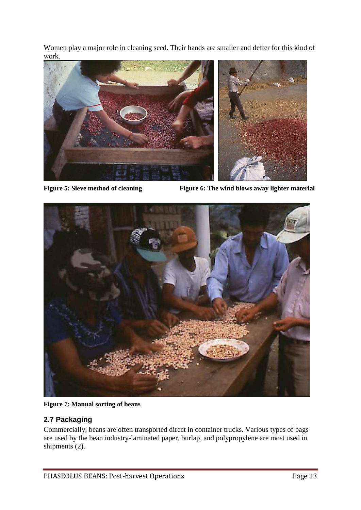Women play a major role in cleaning seed. Their hands are smaller and defter for this kind of work.



**Figure** 5: Sieve method of cleaning Figure 6: The wind blows away lighter material



**Figure 7: Manual sorting of beans** 

# <span id="page-13-0"></span>**2.7 Packaging**

Commercially, beans are often transported direct in container trucks. Various types of bags are used by the bean industry-laminated paper, burlap, and polypropylene are most used in shipments (2).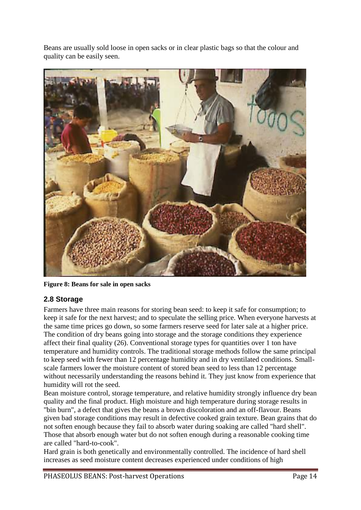Beans are usually sold loose in open sacks or in clear plastic bags so that the colour and quality can be easily seen.



**Figure 8: Beans for sale in open sacks** 

### <span id="page-14-0"></span>**2.8 Storage**

Farmers have three main reasons for storing bean seed: to keep it safe for consumption; to keep it safe for the next harvest; and to speculate the selling price. When everyone harvests at the same time prices go down, so some farmers reserve seed for later sale at a higher price. The condition of dry beans going into storage and the storage conditions they experience affect their final quality (26). Conventional storage types for quantities over 1 ton have temperature and humidity controls. The traditional storage methods follow the same principal to keep seed with fewer than 12 percentage humidity and in dry ventilated conditions. Smallscale farmers lower the moisture content of stored bean seed to less than 12 percentage without necessarily understanding the reasons behind it. They just know from experience that humidity will rot the seed.

Bean moisture control, storage temperature, and relative humidity strongly influence dry bean quality and the final product. High moisture and high temperature during storage results in "bin burn", a defect that gives the beans a brown discoloration and an off-flavour. Beans given bad storage conditions may result in defective cooked grain texture. Bean grains that do not soften enough because they fail to absorb water during soaking are called "hard shell". Those that absorb enough water but do not soften enough during a reasonable cooking time are called "hard-to-cook".

Hard grain is both genetically and environmentally controlled. The incidence of hard shell increases as seed moisture content decreases experienced under conditions of high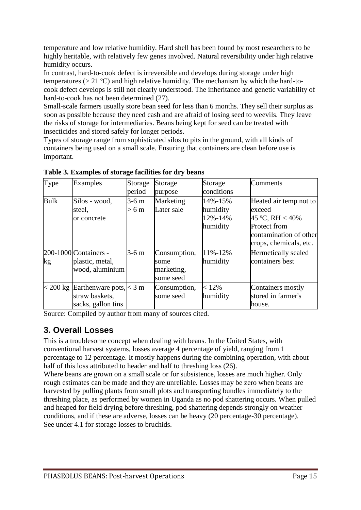temperature and low relative humidity. Hard shell has been found by most researchers to be highly heritable, with relatively few genes involved. Natural reversibility under high relative humidity occurs.

In contrast, hard-to-cook defect is irreversible and develops during storage under high temperatures ( $> 21 \text{ }^{\circ}$ C) and high relative humidity. The mechanism by which the hard-tocook defect develops is still not clearly understood. The inheritance and genetic variability of hard-to-cook has not been determined (27).

Small-scale farmers usually store bean seed for less than 6 months. They sell their surplus as soon as possible because they need cash and are afraid of losing seed to weevils. They leave the risks of storage for intermediaries. Beans being kept for seed can be treated with insecticides and stored safely for longer periods.

Types of storage range from sophisticated silos to pits in the ground, with all kinds of containers being used on a small scale. Ensuring that containers are clean before use is important.

| Type          | Examples                                                                           | Storage<br>period | Storage<br>purpose                              | Storage<br>conditions                      | Comments                                                                                                                |
|---------------|------------------------------------------------------------------------------------|-------------------|-------------------------------------------------|--------------------------------------------|-------------------------------------------------------------------------------------------------------------------------|
| <b>Bulk</b>   | Silos - wood,<br>steel,<br>or concrete                                             | $3-6$ m<br>> 6m   | Marketing<br>Later sale                         | 14%-15%<br>humidity<br>12%-14%<br>humidity | Heated air temp not to<br>exceed<br>45 °C, RH < 40%<br>Protect from<br>contamination of other<br>crops, chemicals, etc. |
| $\mathbf{kg}$ | 200-1000 Containers -<br>plastic, metal,<br>wood, aluminium                        | $3-6$ m           | Consumption,<br>some<br>marketing,<br>some seed | 11%-12%<br>humidity                        | Hermetically sealed<br>containers best                                                                                  |
|               | $ $ < 200 kg   Earthenware pots, $ $ < 3 m<br>straw baskets,<br>sacks, gallon tins |                   | Consumption,<br>some seed                       | < 12%<br>humidity                          | Containers mostly<br>stored in farmer's<br>house.                                                                       |

**Table 3. Examples of storage facilities for dry beans**

Source: Compiled by author from many of sources cited.

# <span id="page-15-0"></span>**3. Overall Losses**

This is a troublesome concept when dealing with beans. In the United States, with conventional harvest systems, losses average 4 percentage of yield, ranging from 1 percentage to 12 percentage. It mostly happens during the combining operation, with about half of this loss attributed to header and half to threshing loss (26).

Where beans are grown on a small scale or for subsistence, losses are much higher. Only rough estimates can be made and they are unreliable. Losses may be zero when beans are harvested by pulling plants from small plots and transporting bundles immediately to the threshing place, as performed by women in Uganda as no pod shattering occurs. When pulled and heaped for field drying before threshing, pod shattering depends strongly on weather conditions, and if these are adverse, losses can be heavy (20 percentage-30 percentage). See under 4.1 for storage losses to bruchids.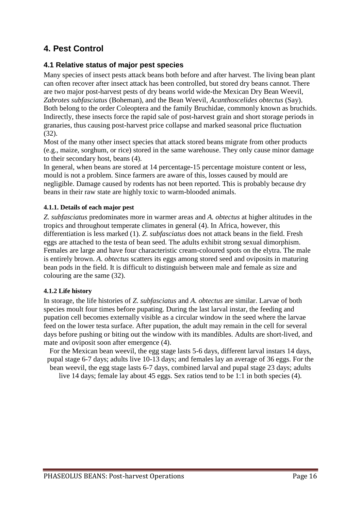# <span id="page-16-0"></span>**4. Pest Control**

### <span id="page-16-1"></span>**4.1 Relative status of major pest species**

Many species of insect pests attack beans both before and after harvest. The living bean plant can often recover after insect attack has been controlled, but stored dry beans cannot. There are two major post-harvest pests of dry beans world wide-the Mexican Dry Bean Weevil, *Zabrotes subfasciatus* (Boheman), and the Bean Weevil, *Acanthoscelides obtectus* (Say). Both belong to the order Coleoptera and the family Bruchidae, commonly known as bruchids. Indirectly, these insects force the rapid sale of post-harvest grain and short storage periods in granaries, thus causing post-harvest price collapse and marked seasonal price fluctuation (32).

Most of the many other insect species that attack stored beans migrate from other products (e.g., maize, sorghum, or rice) stored in the same warehouse. They only cause minor damage to their secondary host, beans (4).

In general, when beans are stored at 14 percentage-15 percentage moisture content or less, mould is not a problem. Since farmers are aware of this, losses caused by mould are negligible. Damage caused by rodents has not been reported. This is probably because dry beans in their raw state are highly toxic to warm-blooded animals.

#### **4.1.1. Details of each major pest**

*Z. subfasciatus* predominates more in warmer areas and *A. obtectus* at higher altitudes in the tropics and throughout temperate climates in general (4). In Africa, however, this differentiation is less marked (1). *Z. subfasciatus* does not attack beans in the field. Fresh eggs are attached to the testa of bean seed. The adults exhibit strong sexual dimorphism. Females are large and have four characteristic cream-coloured spots on the elytra. The male is entirely brown. *A. obtectus* scatters its eggs among stored seed and oviposits in maturing bean pods in the field. It is difficult to distinguish between male and female as size and colouring are the same (32).

#### **4.1.2 Life history**

In storage, the life histories of *Z. subfasciatus* and *A. obtectus* are similar. Larvae of both species moult four times before pupating. During the last larval instar, the feeding and pupation cell becomes externally visible as a circular window in the seed where the larvae feed on the lower testa surface. After pupation, the adult may remain in the cell for several days before pushing or biting out the window with its mandibles. Adults are short-lived, and mate and oviposit soon after emergence (4).

For the Mexican bean weevil, the egg stage lasts 5-6 days, different larval instars 14 days, pupal stage 6-7 days; adults live 10-13 days; and females lay an average of 36 eggs. For the bean weevil, the egg stage lasts 6-7 days, combined larval and pupal stage 23 days; adults

live 14 days; female lay about 45 eggs. Sex ratios tend to be 1:1 in both species (4).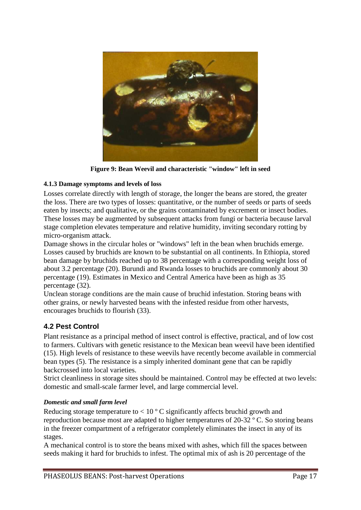

**Figure 9: Bean Weevil and characteristic "window" left in seed**

### **4.1.3 Damage symptoms and levels of loss**

Losses correlate directly with length of storage, the longer the beans are stored, the greater the loss. There are two types of losses: quantitative, or the number of seeds or parts of seeds eaten by insects; and qualitative, or the grains contaminated by excrement or insect bodies. These losses may be augmented by subsequent attacks from fungi or bacteria because larval stage completion elevates temperature and relative humidity, inviting secondary rotting by micro-organism attack.

Damage shows in the circular holes or "windows" left in the bean when bruchids emerge. Losses caused by bruchids are known to be substantial on all continents. In Ethiopia, stored bean damage by bruchids reached up to 38 percentage with a corresponding weight loss of about 3.2 percentage (20). Burundi and Rwanda losses to bruchids are commonly about 30 percentage (19). Estimates in Mexico and Central America have been as high as 35 percentage (32).

Unclean storage conditions are the main cause of bruchid infestation. Storing beans with other grains, or newly harvested beans with the infested residue from other harvests, encourages bruchids to flourish (33).

# <span id="page-17-0"></span>**4.2 Pest Control**

Plant resistance as a principal method of insect control is effective, practical, and of low cost to farmers. Cultivars with genetic resistance to the Mexican bean weevil have been identified (15). High levels of resistance to these weevils have recently become available in commercial bean types (5). The resistance is a simply inherited dominant gene that can be rapidly backcrossed into local varieties.

Strict cleanliness in storage sites should be maintained. Control may be effected at two levels: domestic and small-scale farmer level, and large commercial level.

### *Domestic and small farm level*

Reducing storage temperature to  $< 10$  ° C significantly affects bruchid growth and reproduction because most are adapted to higher temperatures of 20-32 º C. So storing beans in the freezer compartment of a refrigerator completely eliminates the insect in any of its stages.

A mechanical control is to store the beans mixed with ashes, which fill the spaces between seeds making it hard for bruchids to infest. The optimal mix of ash is 20 percentage of the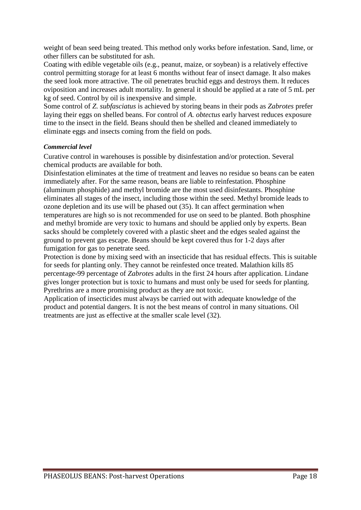weight of bean seed being treated. This method only works before infestation. Sand, lime, or other fillers can be substituted for ash.

Coating with edible vegetable oils (e.g., peanut, maize, or soybean) is a relatively effective control permitting storage for at least 6 months without fear of insect damage. It also makes the seed look more attractive. The oil penetrates bruchid eggs and destroys them. It reduces oviposition and increases adult mortality. In general it should be applied at a rate of 5 mL per kg of seed. Control by oil is inexpensive and simple.

Some control of *Z. subfasciatus* is achieved by storing beans in their pods as *Zabrotes* prefer laying their eggs on shelled beans. For control of *A. obtectus* early harvest reduces exposure time to the insect in the field. Beans should then be shelled and cleaned immediately to eliminate eggs and insects coming from the field on pods.

#### *Commercial level*

Curative control in warehouses is possible by disinfestation and/or protection. Several chemical products are available for both.

Disinfestation eliminates at the time of treatment and leaves no residue so beans can be eaten immediately after. For the same reason, beans are liable to reinfestation. Phosphine (aluminum phosphide) and methyl bromide are the most used disinfestants. Phosphine eliminates all stages of the insect, including those within the seed. Methyl bromide leads to ozone depletion and its use will be phased out (35). It can affect germination when temperatures are high so is not recommended for use on seed to be planted. Both phosphine and methyl bromide are very toxic to humans and should be applied only by experts. Bean sacks should be completely covered with a plastic sheet and the edges sealed against the ground to prevent gas escape. Beans should be kept covered thus for 1-2 days after fumigation for gas to penetrate seed.

Protection is done by mixing seed with an insecticide that has residual effects. This is suitable for seeds for planting only. They cannot be reinfested once treated. Malathion kills 85 percentage-99 percentage of *Zabrotes* adults in the first 24 hours after application. Lindane gives longer protection but is toxic to humans and must only be used for seeds for planting. Pyrethrins are a more promising product as they are not toxic.

Application of insecticides must always be carried out with adequate knowledge of the product and potential dangers. It is not the best means of control in many situations. Oil treatments are just as effective at the smaller scale level (32).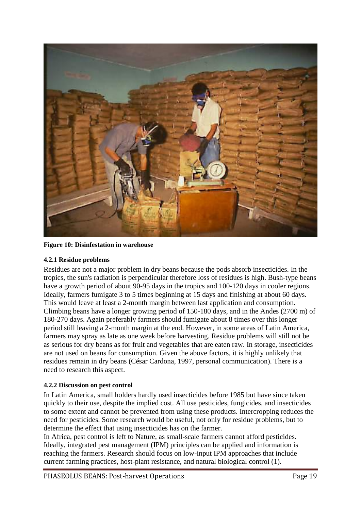

**Figure 10: Disinfestation in warehouse** 

#### **4.2.1 Residue problems**

Residues are not a major problem in dry beans because the pods absorb insecticides. In the tropics, the sun's radiation is perpendicular therefore loss of residues is high. Bush-type beans have a growth period of about 90-95 days in the tropics and 100-120 days in cooler regions. Ideally, farmers fumigate 3 to 5 times beginning at 15 days and finishing at about 60 days. This would leave at least a 2-month margin between last application and consumption. Climbing beans have a longer growing period of 150-180 days, and in the Andes (2700 m) of 180-270 days. Again preferably farmers should fumigate about 8 times over this longer period still leaving a 2-month margin at the end. However, in some areas of Latin America, farmers may spray as late as one week before harvesting. Residue problems will still not be as serious for dry beans as for fruit and vegetables that are eaten raw. In storage, insecticides are not used on beans for consumption. Given the above factors, it is highly unlikely that residues remain in dry beans (César Cardona, 1997, personal communication). There is a need to research this aspect.

#### **4.2.2 Discussion on pest control**

In Latin America, small holders hardly used insecticides before 1985 but have since taken quickly to their use, despite the implied cost. All use pesticides, fungicides, and insecticides to some extent and cannot be prevented from using these products. Intercropping reduces the need for pesticides. Some research would be useful, not only for residue problems, but to determine the effect that using insecticides has on the farmer.

In Africa, pest control is left to Nature, as small-scale farmers cannot afford pesticides. Ideally, integrated pest management (IPM) principles can be applied and information is reaching the farmers. Research should focus on low-input IPM approaches that include current farming practices, host-plant resistance, and natural biological control (1).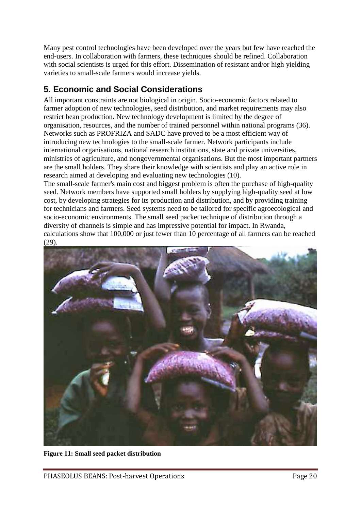Many pest control technologies have been developed over the years but few have reached the end-users. In collaboration with farmers, these techniques should be refined. Collaboration with social scientists is urged for this effort. Dissemination of resistant and/or high yielding varieties to small-scale farmers would increase yields.

# <span id="page-20-0"></span>**5. Economic and Social Considerations**

All important constraints are not biological in origin. Socio-economic factors related to farmer adoption of new technologies, seed distribution, and market requirements may also restrict bean production. New technology development is limited by the degree of organisation, resources, and the number of trained personnel within national programs (36). Networks such as PROFRIZA and SADC have proved to be a most efficient way of introducing new technologies to the small-scale farmer. Network participants include international organisations, national research institutions, state and private universities, ministries of agriculture, and nongovernmental organisations. But the most important partners are the small holders. They share their knowledge with scientists and play an active role in research aimed at developing and evaluating new technologies (10).

The small-scale farmer's main cost and biggest problem is often the purchase of high-quality seed. Network members have supported small holders by supplying high-quality seed at low cost, by developing strategies for its production and distribution, and by providing training for technicians and farmers. Seed systems need to be tailored for specific agroecological and socio-economic environments. The small seed packet technique of distribution through a diversity of channels is simple and has impressive potential for impact. In Rwanda, calculations show that 100,000 or just fewer than 10 percentage of all farmers can be reached (29).



**Figure 11: Small seed packet distribution**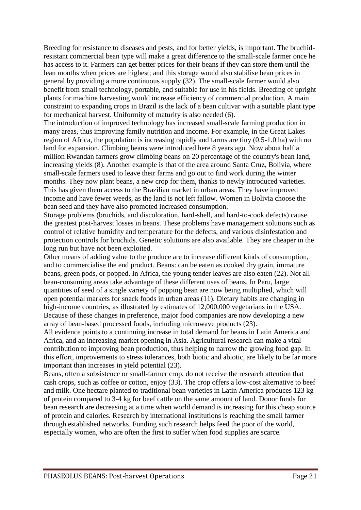Breeding for resistance to diseases and pests, and for better yields, is important. The bruchidresistant commercial bean type will make a great difference to the small-scale farmer once he has access to it. Farmers can get better prices for their beans if they can store them until the lean months when prices are highest; and this storage would also stabilise bean prices in general by providing a more continuous supply (32). The small-scale farmer would also benefit from small technology, portable, and suitable for use in his fields. Breeding of upright plants for machine harvesting would increase efficiency of commercial production. A main constraint to expanding crops in Brazil is the lack of a bean cultivar with a suitable plant type for mechanical harvest. Uniformity of maturity is also needed (6).

The introduction of improved technology has increased small-scale farming production in many areas, thus improving family nutrition and income. For example, in the Great Lakes region of Africa, the population is increasing rapidly and farms are tiny (0.5-1.0 ha) with no land for expansion. Climbing beans were introduced here 8 years ago. Now about half a million Rwandan farmers grow climbing beans on 20 percentage of the country's bean land, increasing yields (8). Another example is that of the area around Santa Cruz, Bolivia, where small-scale farmers used to leave their farms and go out to find work during the winter months. They now plant beans, a new crop for them, thanks to newly introduced varieties. This has given them access to the Brazilian market in urban areas. They have improved income and have fewer weeds, as the land is not left fallow. Women in Bolivia choose the bean seed and they have also promoted increased consumption.

Storage problems (bruchids, and discoloration, hard-shell, and hard-to-cook defects) cause the greatest post-harvest losses in beans. These problems have management solutions such as control of relative humidity and temperature for the defects, and various disinfestation and protection controls for bruchids. Genetic solutions are also available. They are cheaper in the long run but have not been exploited.

Other means of adding value to the produce are to increase different kinds of consumption, and to commercialise the end product. Beans: can be eaten as cooked dry grain, immature beans, green pods, or popped. In Africa, the young tender leaves are also eaten (22). Not all bean-consuming areas take advantage of these different uses of beans. In Peru, large quantities of seed of a single variety of popping bean are now being multiplied, which will open potential markets for snack foods in urban areas (11). Dietary habits are changing in high-income countries, as illustrated by estimates of 12,000,000 vegetarians in the USA. Because of these changes in preference, major food companies are now developing a new array of bean-based processed foods, including microwave products (23).

All evidence points to a continuing increase in total demand for beans in Latin America and Africa, and an increasing market opening in Asia. Agricultural research can make a vital contribution to improving bean production, thus helping to narrow the growing food gap. In this effort, improvements to stress tolerances, both biotic and abiotic, are likely to be far more important than increases in yield potential (23).

Beans, often a subsistence or small-farmer crop, do not receive the research attention that cash crops, such as coffee or cotton, enjoy (33). The crop offers a low-cost alternative to beef and milk. One hectare planted to traditional bean varieties in Latin America produces 123 kg of protein compared to 3-4 kg for beef cattle on the same amount of land. Donor funds for bean research are decreasing at a time when world demand is increasing for this cheap source of protein and calories. Research by international institutions is reaching the small farmer through established networks. Funding such research helps feed the poor of the world, especially women, who are often the first to suffer when food supplies are scarce.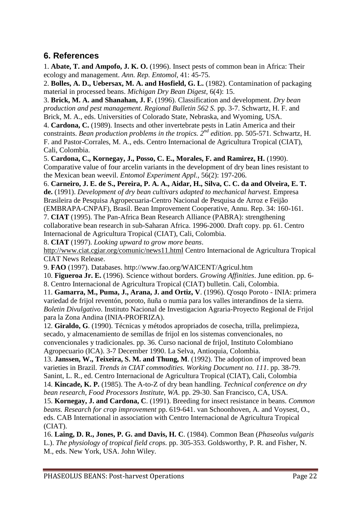# <span id="page-22-0"></span>**6. References**

1. **Abate, T. and Ampofo, J. K. O.** (1996). Insect pests of common bean in Africa: Their ecology and management. *Ann. Rep. Entomol,* 41: 45-75.

2. **Bolles, A. D., Uebersax, M. A. and Hosfield, G. L.** (1982). Contamination of packaging material in processed beans. *Michigan Dry Bean Digest,* 6(4): 15.

3. **Brick, M. A. and Shanahan, J. F.** (1996). Classification and development. *Dry bean production and pest management. Regional Bulletin 562 S.* pp. 3-7. Schwartz, H. F. and Brick, M. A., eds. Universities of Colorado State, Nebraska, and Wyoming, USA.

4. **Cardona, C.** (1989). Insects and other invertebrate pests in Latin America and their constraints. *Bean production problems in the tropics. 2nd edition*. pp. 505-571. Schwartz, H. F. and Pastor-Corrales, M. A., eds. Centro Internacional de Agricultura Tropical (CIAT), Cali, Colombia.

5. **Cardona, C., Kornegay, J., Posso, C. E., Morales, F. and Ramirez, H.** (1990). Comparative value of four arcelin variants in the development of dry bean lines resistant to the Mexican bean weevil. *Entomol Experiment Appl.,* 56(2): 197-206.

6. **Carneiro, J. E. de S., Pereira, P. A. A., Aidar, H., Silva, C. C. da and Olveira, E. T. de.** (1991). *Development of dry bean cultivars adapted to mechanical harvest*. Empresa Brasileira de Pesquisa Agropecuaria-Centro Nacional de Pesquisa de Arroz e Feijão

(EMBRAPA-CNPAF), Brasil. Bean Improvement Cooperative, Annu. Rep. 34: 160-161. 7. **CIAT** (1995). The Pan-Africa Bean Research Alliance (PABRA): strengthening collaborative bean research in sub-Saharan Africa. 1996-2000. Draft copy. pp. 61. Centro Internacional de Agricultura Tropical (CIAT), Cali, Colombia.

8. **CIAT** (1997). *Looking upward to grow more beans*.

http://www.ciat.cgiar.org/comunic/news11.html Centro Internacional de Agricultura Tropical CIAT News Release.

9. **FAO** (1997). Databases. http://www.fao.org/WAICENT/Agricul.htm

10. **Figueroa Jr. E.** (1996). Science without borders. *Growing Affinities*. June edition. pp. 6-

8. Centro Internacional de Agricultura Tropical (CIAT) bulletin. Cali, Colombia.

11. **Gamarra, M., Puma, J., Arana, J. and Ortiz, V**. (1996). Q'osqo Poroto - INIA: primera variedad de frijol reventón, poroto, ñuña o numia para los valles interandinos de la sierra. *Boletin Divulgativo*. Instituto Nacional de Investigacion Agraria-Proyecto Regional de Frijol para la Zona Andina (INIA-PROFRIZA).

12. **Giraldo, G**. (1990). Técnicas y métodos apropriados de cosecha, trilla, prelimpieza, secado, y almacenamiento de semillas de frijol en los sistemas convencionales, no convencionales y tradicionales. pp. 36. Curso nacional de frijol, Instituto Colombiano Agropecuario (ICA). 3-7 December 1990. La Selva, Antioquia, Colombia.

13. **Janssen, W., Teixeira, S. M. and Thung, M**. (1992). The adoption of improved bean varieties in Brazil. *Trends in CIAT commodities. Working Document no. 111*. pp. 38-79. Sanint, L. R., ed. Centro Internacional de Agricultura Tropical (CIAT), Cali, Colombia 14. **Kincade, K. P.** (1985). The A-to-Z of dry bean handling. *Technical conference on dry* 

*bean research*, *Food Processors Institute, WA*. pp. 29-30. San Francisco, CA, USA.

15. **Kornegay, J. and Cardona, C**. (1991). Breeding for insect resistance in beans. *Common beans. Research for crop improvement* pp. 619-641. van Schoonhoven, A. and Voysest, O., eds. CAB International in association with Centro Internacional de Agricultura Tropical (CIAT).

16. **Laing, D. R., Jones, P. G. and Davis, H. C**. (1984). Common Bean (*Phaseolus vulgaris* L.). *The physiology of tropical field crops.* pp. 305-353. Goldsworthy, P. R. and Fisher, N. M., eds. New York, USA. John Wiley.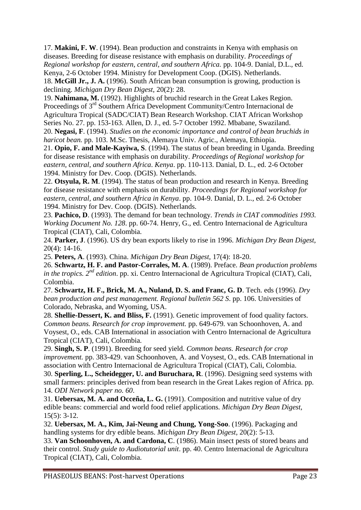17. **Makini, F. W**. (1994). Bean production and constraints in Kenya with emphasis on diseases. Breeding for disease resistance with emphasis on durability. *Proceedings of Regional workshop for eastern, central, and southern Africa.* pp. 104-9. Danial, D.L., ed. Kenya, 2-6 October 1994. Ministry for Development Coop. (DGIS). Netherlands.

18. **McGill Jr., J. A.** (1996). South African bean consumption is growing, production is declining. *Michigan Dry Bean Digest*, 20(2): 28.

19. **Nahimana, M.** (1992). Highlights of bruchid research in the Great Lakes Region. Proceedings of 3<sup>rd</sup> Southern Africa Development Community/Centro Internacional de Agricultura Tropical (SADC/CIAT) Bean Research Workshop. CIAT African Workshop Series No. 27. pp. 153-163. Allen, D. J., ed. 5-7 October 1992. Mbabane, Swaziland. 20. **Negasi, F**. (1994). *Studies on the economic importance and control of bean bruchids in* 

*haricot bean.* pp. 103. M.Sc. Thesis, Alemaya Univ. Agric., Alemaya, Ethiopia.

21. **Opio, F. and Male-Kayiwa, S**. (1994). The status of bean breeding in Uganda. Breeding for disease resistance with emphasis on durability. *Proceedings of Regional workshop for eastern, central, and southern Africa*. *Kenya*. pp. 110-113. Danial, D. L., ed. 2-6 October 1994. Ministry for Dev. Coop. (DGIS). Netherlands.

22. **Otsyula, R. M**. (1994). The status of bean production and research in Kenya. Breeding for disease resistance with emphasis on durability. *Proceedings for Regional workshop for eastern, central, and southern Africa in Kenya*. pp. 104-9. Danial, D. L., ed. 2-6 October 1994. Ministry for Dev. Coop. (DGIS). Netherlands.

23. **Pachico, D**. (1993). The demand for bean technology. *Trends in CIAT commodities 1993. Working Document No. 128*. pp. 60-74. Henry, G., ed. Centro Internacional de Agricultura Tropical (CIAT), Cali, Colombia.

24. **Parker, J**. (1996). US dry bean exports likely to rise in 1996. *Michigan Dry Bean Digest,* 20(4): 14-16.

25. **Peters, A**. (1993). China. *Michigan Dry Bean Digest,* 17(4): 18-20.

26. **Schwartz, H. F. and Pastor-Corrales, M. A**. (1989). Preface. *Bean production problems in the tropics. 2nd edition*. pp. xi. Centro Internacional de Agricultura Tropical (CIAT), Cali, Colombia.

27. **Schwartz, H. F., Brick, M. A., Nuland, D. S. and Franc, G. D**. Tech. eds (1996). *Dry bean production and pest management. Regional bulletin 562 S*. pp. 106. Universities of Colorado, Nebraska, and Wyoming, USA.

28. **Shellie-Dessert, K. and Bliss, F.** (1991). Genetic improvement of food quality factors. *Common beans. Research for crop improvement.* pp. 649-679*.* van Schoonhoven, A. and Voysest, O., eds. CAB International in association with Centro Internacional de Agricultura Tropical (CIAT), Cali, Colombia.

29. **Singh, S. P**. (1991). Breeding for seed yield. *Common beans. Research for crop improvement.* pp. 383-429. van Schoonhoven, A. and Voysest, O., eds. CAB International in association with Centro Internacional de Agricultura Tropical (CIAT), Cali, Colombia.

30. **Sperling, L., Scheidegger, U. and Buruchara, R**. (1996). Designing seed systems with small farmers: principles derived from bean research in the Great Lakes region of Africa. pp. 14. *ODI Network paper no. 60*.

31. **Uebersax, M. A. and Occeña, L. G.** (1991). Composition and nutritive value of dry edible beans: commercial and world food relief applications*. Michigan Dry Bean Digest,*  $15(5): 3-12.$ 

32. **Uebersax, M. A., Kim, Jai-Neung and Chung, Yong-Soo**. (1996). Packaging and handling systems for dry edible beans. *Michigan Dry Bean Digest,* 20(2): 5-13.

33. **Van Schoonhoven, A. and Cardona, C**. (1986). Main insect pests of stored beans and their control. *Study guide to Audiotutorial unit*. pp. 40. Centro Internacional de Agricultura Tropical (CIAT), Cali, Colombia.